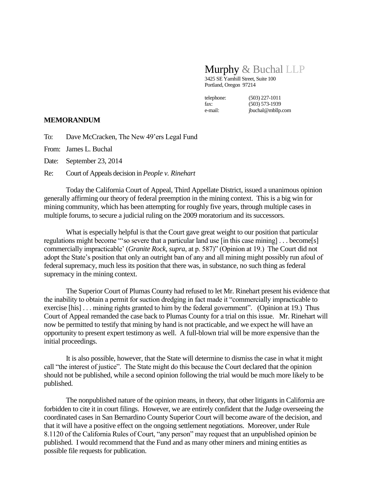## Murphy & Buchal LLP

3425 SE Yamhill Street, Suite 100 Portland, Oregon 97214

telephone: (503) 227-1011 fax: (503) 573-1939<br>e-mail: (buchal@mbllp.)

jbuchal@mbllp.com

## **MEMORANDUM**

To: Dave McCracken, The New 49'ers Legal Fund

From: James L. Buchal

Date: September 23, 2014

Re: Court of Appeals decision in *People v. Rinehart*

Today the California Court of Appeal, Third Appellate District, issued a unanimous opinion generally affirming our theory of federal preemption in the mining context. This is a big win for mining community, which has been attempting for roughly five years, through multiple cases in multiple forums, to secure a judicial ruling on the 2009 moratorium and its successors.

What is especially helpful is that the Court gave great weight to our position that particular regulations might become "'so severe that a particular land use [in this case mining] . . . become[s] commercially impracticable' (*Granite Rock, supra*, at p. 587)" (Opinion at 19.) The Court did not adopt the State's position that only an outright ban of any and all mining might possibly run afoul of federal supremacy, much less its position that there was, in substance, no such thing as federal supremacy in the mining context.

The Superior Court of Plumas County had refused to let Mr. Rinehart present his evidence that the inability to obtain a permit for suction dredging in fact made it "commercially impracticable to exercise [his] . . . mining rights granted to him by the federal government". (Opinion at 19.) Thus Court of Appeal remanded the case back to Plumas County for a trial on this issue. Mr. Rinehart will now be permitted to testify that mining by hand is not practicable, and we expect he will have an opportunity to present expert testimony as well. A full-blown trial will be more expensive than the initial proceedings.

It is also possible, however, that the State will determine to dismiss the case in what it might call "the interest of justice". The State might do this because the Court declared that the opinion should not be published, while a second opinion following the trial would be much more likely to be published.

The nonpublished nature of the opinion means, in theory, that other litigants in California are forbidden to cite it in court filings. However, we are entirely confident that the Judge overseeing the coordinated cases in San Bernardino County Superior Court will become aware of the decision, and that it will have a positive effect on the ongoing settlement negotiations. Moreover, under Rule 8.1120 of the California Rules of Court, "any person" may request that an unpublished opinion be published. I would recommend that the Fund and as many other miners and mining entities as possible file requests for publication.